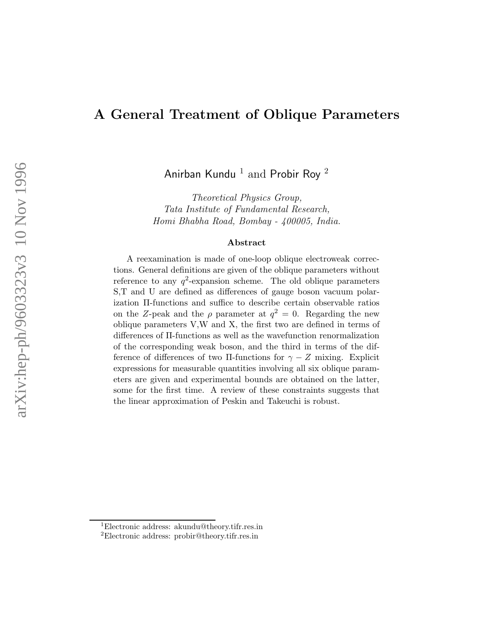## A General Treatment of Oblique Parameters

Anirban Kundu  $^1$  and Probir Roy  $^2$ 

Theoretical Physics Group, Tata Institute of Fundamental Research, Homi Bhabha Road, Bombay - 400005, India.

#### Abstract

A reexamination is made of one-loop oblique electroweak corrections. General definitions are given of the oblique parameters without reference to any  $q^2$ -expansion scheme. The old oblique parameters S,T and U are defined as differences of gauge boson vacuum polarization Π-functions and suffice to describe certain observable ratios on the Z-peak and the  $\rho$  parameter at  $q^2 = 0$ . Regarding the new oblique parameters V,W and X, the first two are defined in terms of differences of Π-functions as well as the wavefunction renormalization of the corresponding weak boson, and the third in terms of the difference of differences of two II-functions for  $\gamma - Z$  mixing. Explicit expressions for measurable quantities involving all six oblique parameters are given and experimental bounds are obtained on the latter, some for the first time. A review of these constraints suggests that the linear approximation of Peskin and Takeuchi is robust.

<sup>1</sup>Electronic address: akundu@theory.tifr.res.in

<sup>2</sup>Electronic address: probir@theory.tifr.res.in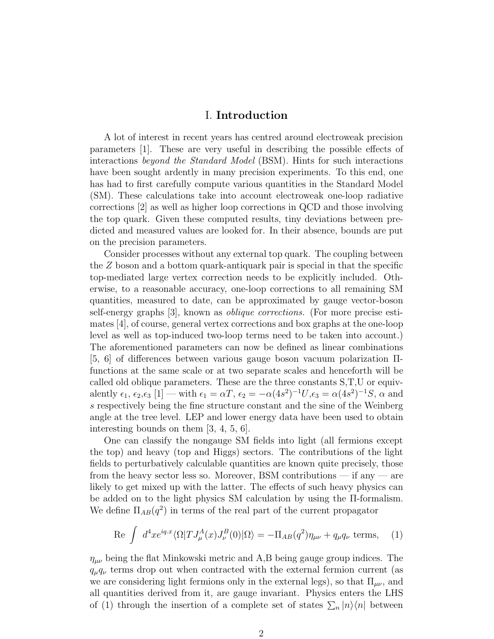#### I. Introduction

A lot of interest in recent years has centred around electroweak precision parameters [1]. These are very useful in describing the possible effects of interactions beyond the Standard Model (BSM). Hints for such interactions have been sought ardently in many precision experiments. To this end, one has had to first carefully compute various quantities in the Standard Model (SM). These calculations take into account electroweak one-loop radiative corrections [2] as well as higher loop corrections in QCD and those involving the top quark. Given these computed results, tiny deviations between predicted and measured values are looked for. In their absence, bounds are put on the precision parameters.

Consider processes without any external top quark. The coupling between the  $Z$  boson and a bottom quark-antiquark pair is special in that the specific top-mediated large vertex correction needs to be explicitly included. Otherwise, to a reasonable accuracy, one-loop corrections to all remaining SM quantities, measured to date, can be approximated by gauge vector-boson self-energy graphs [3], known as oblique corrections. (For more precise estimates [4], of course, general vertex corrections and box graphs at the one-loop level as well as top-induced two-loop terms need to be taken into account.) The aforementioned parameters can now be defined as linear combinations [5, 6] of differences between various gauge boson vacuum polarization Πfunctions at the same scale or at two separate scales and henceforth will be called old oblique parameters. These are the three constants S,T,U or equivalently  $\epsilon_1$ ,  $\epsilon_2$ , $\epsilon_3$  [1] — with  $\epsilon_1 = \alpha T$ ,  $\epsilon_2 = -\alpha (4s^2)^{-1}U$ , $\epsilon_3 = \alpha (4s^2)^{-1}S$ ,  $\alpha$  and s respectively being the fine structure constant and the sine of the Weinberg angle at the tree level. LEP and lower energy data have been used to obtain interesting bounds on them [3, 4, 5, 6].

One can classify the nongauge SM fields into light (all fermions except the top) and heavy (top and Higgs) sectors. The contributions of the light fields to perturbatively calculable quantities are known quite precisely, those from the heavy sector less so. Moreover, BSM contributions — if any — are likely to get mixed up with the latter. The effects of such heavy physics can be added on to the light physics SM calculation by using the Π-formalism. We define  $\Pi_{AB}(q^2)$  in terms of the real part of the current propagator

Re 
$$
\int d^4x e^{iq.x} \langle \Omega | T J^A_\mu(x) J^B_\nu(0) | \Omega \rangle = -\Pi_{AB}(q^2) \eta_{\mu\nu} + q_\mu q_\nu
$$
 terms, (1)

 $\eta_{\mu\nu}$  being the flat Minkowski metric and A,B being gauge group indices. The  $q_{\mu}q_{\nu}$  terms drop out when contracted with the external fermion current (as we are considering light fermions only in the external legs), so that  $\Pi_{\mu\nu}$ , and all quantities derived from it, are gauge invariant. Physics enters the LHS of (1) through the insertion of a complete set of states  $\sum_{n} |n\rangle\langle n|$  between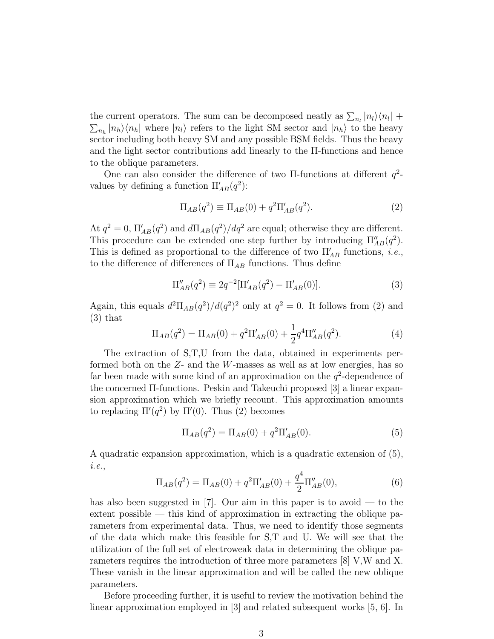the current operators. The sum can be decomposed neatly as  $\sum_{n_l} |n_l\rangle\langle n_l| +$  $\sum_{n_h} |n_h\rangle\langle n_h|$  where  $|n_l\rangle$  refers to the light SM sector and  $|n_h\rangle$  to the heavy sector including both heavy SM and any possible BSM fields. Thus the heavy and the light sector contributions add linearly to the Π-functions and hence to the oblique parameters.

One can also consider the difference of two  $\Pi$ -functions at different  $q^2$ values by defining a function  $\Pi'_{AB}(q^2)$ :

$$
\Pi_{AB}(q^2) \equiv \Pi_{AB}(0) + q^2 \Pi'_{AB}(q^2).
$$
 (2)

At  $q^2 = 0$ ,  $\Pi'_{AB}(q^2)$  and  $d\Pi_{AB}(q^2)/dq^2$  are equal; otherwise they are different. This procedure can be extended one step further by introducing  $\Pi''_{AB}(q^2)$ . This is defined as proportional to the difference of two  $\Pi'_{AB}$  functions, *i.e.*, to the difference of differences of  $\Pi_{AB}$  functions. Thus define

$$
\Pi''_{AB}(q^2) \equiv 2q^{-2}[\Pi'_{AB}(q^2) - \Pi'_{AB}(0)].
$$
\n(3)

Again, this equals  $d^2\Pi_{AB}(q^2)/d(q^2)^2$  only at  $q^2=0$ . It follows from (2) and (3) that

$$
\Pi_{AB}(q^2) = \Pi_{AB}(0) + q^2 \Pi'_{AB}(0) + \frac{1}{2} q^4 \Pi''_{AB}(q^2).
$$
 (4)

The extraction of S,T,U from the data, obtained in experiments performed both on the  $Z$ - and the W-masses as well as at low energies, has so far been made with some kind of an approximation on the  $q^2$ -dependence of the concerned Π-functions. Peskin and Takeuchi proposed [3] a linear expansion approximation which we briefly recount. This approximation amounts to replacing  $\Pi'(q^2)$  by  $\Pi'(0)$ . Thus (2) becomes

$$
\Pi_{AB}(q^2) = \Pi_{AB}(0) + q^2 \Pi'_{AB}(0). \tag{5}
$$

A quadratic expansion approximation, which is a quadratic extension of (5), i.e.,

$$
\Pi_{AB}(q^2) = \Pi_{AB}(0) + q^2 \Pi'_{AB}(0) + \frac{q^4}{2} \Pi''_{AB}(0),\tag{6}
$$

has also been suggested in [7]. Our aim in this paper is to avoid — to the extent possible — this kind of approximation in extracting the oblique parameters from experimental data. Thus, we need to identify those segments of the data which make this feasible for S,T and U. We will see that the utilization of the full set of electroweak data in determining the oblique parameters requires the introduction of three more parameters [8] V,W and X. These vanish in the linear approximation and will be called the new oblique parameters.

Before proceeding further, it is useful to review the motivation behind the linear approximation employed in [3] and related subsequent works [5, 6]. In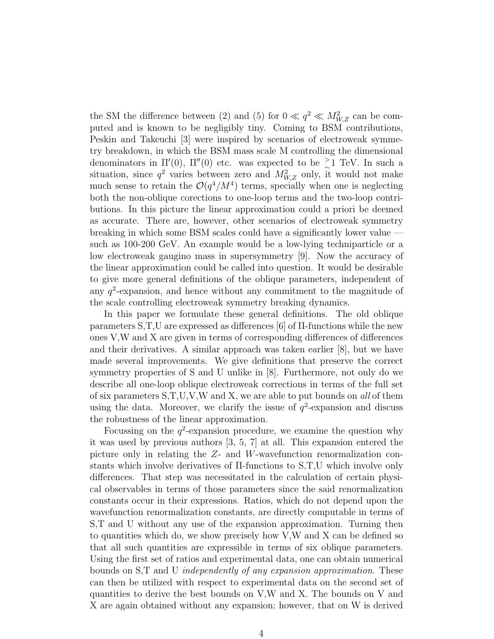the SM the difference between (2) and (5) for  $0 \ll q^2 \ll M_{W,Z}^2$  can be computed and is known to be negligibly tiny. Coming to BSM contributions, Peskin and Takeuchi [3] were inspired by scenarios of electroweak symmetry breakdown, in which the BSM mass scale M controlling the dimensional denominators in  $\Pi'(0)$ ,  $\Pi''(0)$  etc. was expected to be  $\geq 1$  TeV. In such a situation, since  $q^2$  varies between zero and  $M_{W,Z}^2$  only, it would not make much sense to retain the  $\mathcal{O}(q^4/M^4)$  terms, specially when one is neglecting both the non-oblique corections to one-loop terms and the two-loop contributions. In this picture the linear approximation could a priori be deemed as accurate. There are, however, other scenarios of electroweak symmetry breaking in which some BSM scales could have a significantly lower value such as 100-200 GeV. An example would be a low-lying techniparticle or a low electroweak gaugino mass in supersymmetry [9]. Now the accuracy of the linear approximation could be called into question. It would be desirable to give more general definitions of the oblique parameters, independent of any  $q^2$ -expansion, and hence without any commitment to the magnitude of the scale controlling electroweak symmetry breaking dynamics.

In this paper we formulate these general definitions. The old oblique parameters  $S,T,U$  are expressed as differences [6] of  $\Pi$ -functions while the new ones V,W and X are given in terms of corresponding differences of differences and their derivatives. A similar approach was taken earlier [8], but we have made several improvements. We give definitions that preserve the correct symmetry properties of S and U unlike in [8]. Furthermore, not only do we describe all one-loop oblique electroweak corrections in terms of the full set of six parameters S,T,U,V,W and X, we are able to put bounds on all of them using the data. Moreover, we clarify the issue of  $q^2$ -expansion and discuss the robustness of the linear approximation.

Focussing on the  $q^2$ -expansion procedure, we examine the question why it was used by previous authors [3, 5, 7] at all. This expansion entered the picture only in relating the Z- and W-wavefunction renormalization constants which involve derivatives of Π-functions to S,T,U which involve only differences. That step was necessitated in the calculation of certain physical observables in terms of those parameters since the said renormalization constants occur in their expressions. Ratios, which do not depend upon the wavefunction renormalization constants, are directly computable in terms of S,T and U without any use of the expansion approximation. Turning then to quantities which do, we show precisely how V,W and X can be defined so that all such quantities are expressible in terms of six oblique parameters. Using the first set of ratios and experimental data, one can obtain numerical bounds on S,T and U independently of any expansion approximation. These can then be utilized with respect to experimental data on the second set of quantities to derive the best bounds on V,W and X. The bounds on V and X are again obtained without any expansion; however, that on W is derived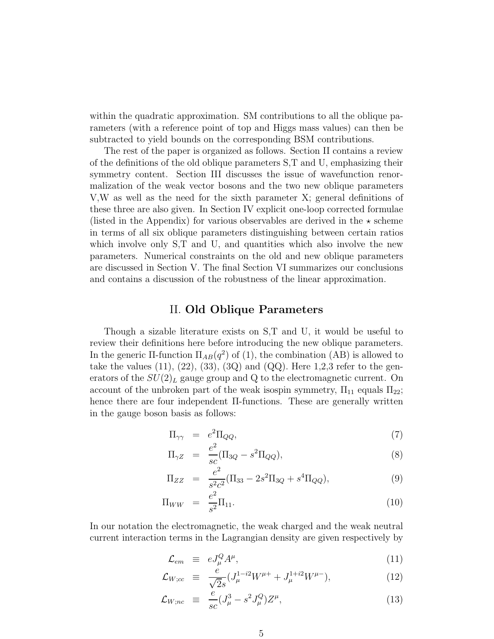within the quadratic approximation. SM contributions to all the oblique parameters (with a reference point of top and Higgs mass values) can then be subtracted to yield bounds on the corresponding BSM contributions.

The rest of the paper is organized as follows. Section II contains a review of the definitions of the old oblique parameters S,T and U, emphasizing their symmetry content. Section III discusses the issue of wavefunction renormalization of the weak vector bosons and the two new oblique parameters V,W as well as the need for the sixth parameter X; general definitions of these three are also given. In Section IV explicit one-loop corrected formulae (listed in the Appendix) for various observables are derived in the  $\star$  scheme in terms of all six oblique parameters distinguishing between certain ratios which involve only S,T and U, and quantities which also involve the new parameters. Numerical constraints on the old and new oblique parameters are discussed in Section V. The final Section VI summarizes our conclusions and contains a discussion of the robustness of the linear approximation.

### II. Old Oblique Parameters

Though a sizable literature exists on S,T and U, it would be useful to review their definitions here before introducing the new oblique parameters. In the generic  $\Pi$ -function  $\Pi_{AB}(q^2)$  of (1), the combination (AB) is allowed to take the values  $(11)$ ,  $(22)$ ,  $(33)$ ,  $(3Q)$  and  $(QQ)$ . Here 1,2,3 refer to the generators of the  $SU(2)_L$  gauge group and Q to the electromagnetic current. On account of the unbroken part of the weak isospin symmetry,  $\Pi_{11}$  equals  $\Pi_{22}$ ; hence there are four independent Π-functions. These are generally written in the gauge boson basis as follows:

$$
\Pi_{\gamma\gamma} = e^2 \Pi_{QQ},\tag{7}
$$

$$
\Pi_{\gamma Z} = \frac{e^2}{sc} (\Pi_{3Q} - s^2 \Pi_{QQ}), \tag{8}
$$

$$
\Pi_{ZZ} = \frac{e^2}{s^2 c^2} (\Pi_{33} - 2s^2 \Pi_{3Q} + s^4 \Pi_{QQ}), \tag{9}
$$

$$
\Pi_{WW} = \frac{e^2}{s^2} \Pi_{11}.
$$
\n(10)

In our notation the electromagnetic, the weak charged and the weak neutral current interaction terms in the Lagrangian density are given respectively by

$$
\mathcal{L}_{em} \equiv eJ^Q_\mu A^\mu, \tag{11}
$$

$$
\mathcal{L}_{W;cc} \equiv \frac{e}{\sqrt{2}s} (J_{\mu}^{1-i2} W^{\mu+} + J_{\mu}^{1+i2} W^{\mu-}), \qquad (12)
$$

$$
\mathcal{L}_{W;nc} \equiv \frac{e}{sc}(J^3_\mu - s^2 J^Q_\mu) Z^\mu, \tag{13}
$$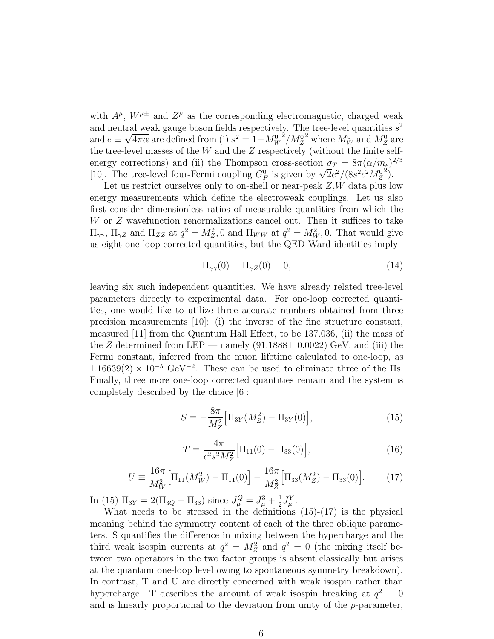with  $A^{\mu}$ ,  $W^{\mu\pm}$  and  $Z^{\mu}$  as the corresponding electromagnetic, charged weak and neutral weak gauge boson fields respectively. The tree-level quantities  $s^2$ and  $e \equiv \sqrt{4\pi\alpha}$  are defined from (i)  $s^2 = 1 - M_W^0$  $^2/M_Z^0$ <sup>2</sup> where  $M_W^0$  and  $M_Z^0$  are the tree-level masses of the  $W$  and the  $Z$  respectively (without the finite selfenergy corrections) and (ii) the Thompson cross-section  $\sigma_T = 8\pi (\alpha/m_e)^{2/3}$ [10]. The tree-level four-Fermi coupling  $G_F^0$  is given by  $\sqrt{2}e^2/(8s^2c^2M_Z^0)$  $\tilde{2}$ ).

Let us restrict ourselves only to on-shell or near-peak  $Z, W$  data plus low energy measurements which define the electroweak couplings. Let us also first consider dimensionless ratios of measurable quantities from which the W or Z wavefunction renormalizations cancel out. Then it suffices to take  $\Pi_{\gamma\gamma}$ ,  $\Pi_{\gamma Z}$  and  $\Pi_{ZZ}$  at  $q^2 = M_Z^2$ , 0 and  $\Pi_{WW}$  at  $q^2 = M_W^2$ , 0. That would give us eight one-loop corrected quantities, but the QED Ward identities imply

$$
\Pi_{\gamma\gamma}(0) = \Pi_{\gamma Z}(0) = 0,\tag{14}
$$

leaving six such independent quantities. We have already related tree-level parameters directly to experimental data. For one-loop corrected quantities, one would like to utilize three accurate numbers obtained from three precision measurements  $[10]$ : (i) the inverse of the fine structure constant, measured [11] from the Quantum Hall Effect, to be 137.036, (ii) the mass of the Z determined from LEP — namely  $(91.1888 \pm 0.0022)$  GeV, and (iii) the Fermi constant, inferred from the muon lifetime calculated to one-loop, as  $1.16639(2) \times 10^{-5} \text{ GeV}^{-2}$ . These can be used to eliminate three of the IIs. Finally, three more one-loop corrected quantities remain and the system is completely described by the choice [6]:

$$
S \equiv -\frac{8\pi}{M_Z^2} \Big[ \Pi_{3Y} (M_Z^2) - \Pi_{3Y} (0) \Big],\tag{15}
$$

$$
T \equiv \frac{4\pi}{c^2 s^2 M_Z^2} \Big[ \Pi_{11}(0) - \Pi_{33}(0) \Big],\tag{16}
$$

$$
U = \frac{16\pi}{M_W^2} \Big[ \Pi_{11}(M_W^2) - \Pi_{11}(0) \Big] - \frac{16\pi}{M_Z^2} \Big[ \Pi_{33}(M_Z^2) - \Pi_{33}(0) \Big]. \tag{17}
$$

In (15)  $\Pi_{3Y} = 2(\Pi_{3Q} - \Pi_{33})$  since  $J^Q_\mu = J^3_\mu + \frac{1}{2}$  $\frac{1}{2}J^Y_\mu$ .

What needs to be stressed in the definitions  $(15)-(17)$  is the physical meaning behind the symmetry content of each of the three oblique parameters. S quantifies the difference in mixing between the hypercharge and the third weak isospin currents at  $q^2 = M_Z^2$  and  $q^2 = 0$  (the mixing itself between two operators in the two factor groups is absent classically but arises at the quantum one-loop level owing to spontaneous symmetry breakdown). In contrast, T and U are directly concerned with weak isospin rather than hypercharge. T describes the amount of weak isospin breaking at  $q^2 = 0$ and is linearly proportional to the deviation from unity of the  $\rho$ -parameter,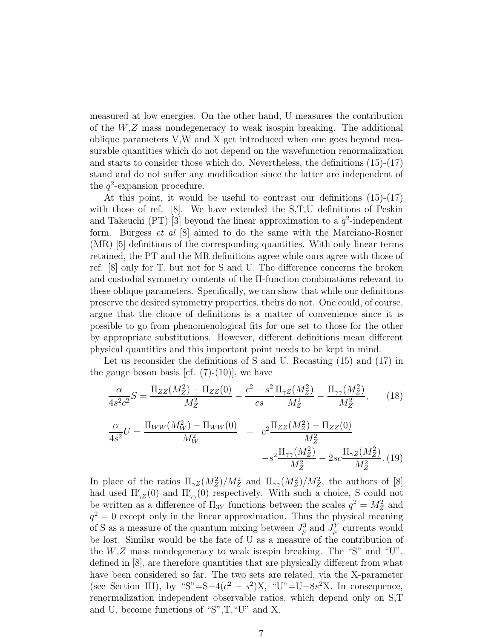measured at low energies. On the other hand, U measures the contribution of the  $W,Z$  mass nondegeneracy to weak isospin breaking. The additional oblique parameters V,W and X get introduced when one goes beyond measurable quantities which do not depend on the wavefunction renormalization and starts to consider those which do. Nevertheless, the definitions (15)-(17) stand and do not suffer any modification since the latter are independent of the  $q^2$ -expansion procedure.

At this point, it would be useful to contrast our definitions (15)-(17) with those of ref. [8]. We have extended the S,T,U definitions of Peskin and Takeuchi (PT) [3] beyond the linear approximation to a  $q^2$ -independent form. Burgess et al [8] aimed to do the same with the Marciano-Rosner (MR) [5] definitions of the corresponding quantities. With only linear terms retained, the PT and the MR definitions agree while ours agree with those of ref. [8] only for T, but not for S and U. The difference concerns the broken and custodial symmetry contents of the Π-function combinations relevant to these oblique parameters. Specifically, we can show that while our definitions preserve the desired symmetry properties, theirs do not. One could, of course, argue that the choice of definitions is a matter of convenience since it is possible to go from phenomenological fits for one set to those for the other by appropriate substitutions. However, different definitions mean different physical quantities and this important point needs to be kept in mind.

Let us reconsider the definitions of S and U. Recasting (15) and (17) in the gauge boson basis [cf.  $(7)-(10)$ ], we have

$$
\frac{\alpha}{4s^2c^2}S = \frac{\Pi_{ZZ}(M_Z^2) - \Pi_{ZZ}(0)}{M_Z^2} - \frac{c^2 - s^2}{cs} \frac{\Pi_{\gamma Z}(M_Z^2)}{M_Z^2} - \frac{\Pi_{\gamma \gamma}(M_Z^2)}{M_Z^2},\tag{18}
$$

$$
\frac{\alpha}{4s^2}U = \frac{\Pi_{WW}(M_W^2) - \Pi_{WW}(0)}{M_W^2} - c^2 \frac{\Pi_{ZZ}(M_Z^2) - \Pi_{ZZ}(0)}{M_Z^2} - s^2 \frac{\Pi_{\gamma\gamma}(M_Z^2)}{M_Z^2} - 2sc \frac{\Pi_{\gamma Z}(M_Z^2)}{M_Z^2}.
$$
(19)

In place of the ratios  $\Pi_{\gamma Z}(M_Z^2)/M_Z^2$  and  $\Pi_{\gamma \gamma}(M_Z^2)/M_Z^2$ , the authors of [8] had used  $\Pi'_{\gamma z}(0)$  and  $\Pi'_{\gamma \gamma}(0)$  respectively. With such a choice, S could not be written as a difference of  $\Pi_{3Y}$  functions between the scales  $q^2 = M_Z^2$  and  $q^2 = 0$  except only in the linear approximation. Thus the physical meaning of S as a measure of the quantum mixing between  $J^3_\mu$  and  $J^Y_\mu$  currents would be lost. Similar would be the fate of U as a measure of the contribution of the  $W,Z$  mass nondegeneracy to weak isospin breaking. The "S" and "U", defined in [8], are therefore quantities that are physically different from what have been considered so far. The two sets are related, via the X-parameter (see Section III), by "S"=S-4 $(c^2 - s^2)X$ , "U"=U-8s<sup>2</sup>X. In consequence, renormalization independent observable ratios, which depend only on S,T and U, become functions of "S",T,"U" and X.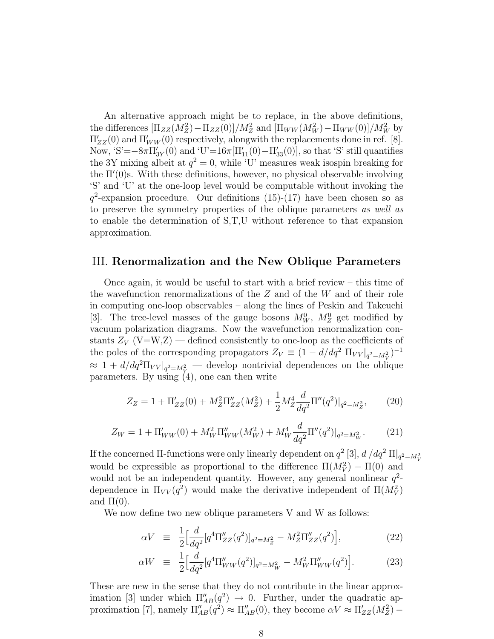An alternative approach might be to replace, in the above definitions, the differences  $[\Pi_{ZZ}(M_Z^2) - \Pi_{ZZ}(0)]/M_Z^2$  and  $[\Pi_{WW}(M_W^2) - \Pi_{WW}(0)]/M_W^2$  by  $\Pi'_{ZZ}(0)$  and  $\Pi'_{WW}(0)$  respectively, alongwith the replacements done in ref. [8]. Now,  $S'=-8\pi\Pi'_{3Y}(0)$  and  $U'=16\pi[\Pi'_{11}(0)-\Pi'_{33}(0)]$ , so that 'S' still quantifies the 3Y mixing albeit at  $q^2 = 0$ , while 'U' measures weak isospin breaking for the Π′ (0)s. With these definitions, however, no physical observable involving 'S' and 'U' at the one-loop level would be computable without invoking the  $q^2$ -expansion procedure. Our definitions (15)-(17) have been chosen so as to preserve the symmetry properties of the oblique parameters as well as to enable the determination of S,T,U without reference to that expansion approximation.

### III. Renormalization and the New Oblique Parameters

Once again, it would be useful to start with a brief review – this time of the wavefunction renormalizations of the  $Z$  and of the  $W$  and of their role in computing one-loop observables – along the lines of Peskin and Takeuchi [3]. The tree-level masses of the gauge bosons  $M_W^0$ ,  $M_Z^0$  get modified by vacuum polarization diagrams. Now the wavefunction renormalization constants  $Z_V$  (V=W,Z) — defined consistently to one-loop as the coefficients of the poles of the corresponding propagators  $Z_V \equiv (1 - d/dq^2 \Pi_{VV}|_{q^2 = M_V^2})^{-1}$  $\approx 1 + d/dq^2 \Pi_{VV}|_{q^2 = M_V^2}$  develop nontrivial dependences on the oblique parameters. By using (4), one can then write

$$
Z_Z = 1 + \Pi'_{ZZ}(0) + M_Z^2 \Pi''_{ZZ}(M_Z^2) + \frac{1}{2} M_Z^4 \frac{d}{dq^2} \Pi''(q^2)|_{q^2 = M_Z^2},\tag{20}
$$

$$
Z_W = 1 + \Pi'_{WW}(0) + M_W^2 \Pi''_{WW}(M_W^2) + M_W^4 \frac{d}{dq^2} \Pi''(q^2)|_{q^2 = M_W^2}.
$$
 (21)

If the concerned  $\Pi$ -functions were only linearly dependent on  $q^2$  [3],  $d/dq^2 \Pi|_{q^2=M_V^2}$ would be expressible as proportional to the difference  $\Pi(M_V^2) - \Pi(0)$  and would not be an independent quantity. However, any general nonlinear  $q^2$ dependence in  $\Pi_{VV}(q^2)$  would make the derivative independent of  $\Pi(M_V^2)$ and  $\Pi(0)$ .

We now define two new oblique parameters V and W as follows:

$$
\alpha V \equiv \frac{1}{2} \Big[ \frac{d}{dq^2} [q^4 \Pi''_{ZZ}(q^2)]_{q^2 = M_Z^2} - M_Z^2 \Pi''_{ZZ}(q^2) \Big], \tag{22}
$$

$$
\alpha W = \frac{1}{2} \Big[ \frac{d}{dq^2} [q^4 \Pi''_{WW}(q^2)]_{q^2 = M_W^2} - M_W^2 \Pi''_{WW}(q^2) \Big]. \tag{23}
$$

These are new in the sense that they do not contribute in the linear approximation [3] under which  $\Pi''_{AB}(q^2) \rightarrow 0$ . Further, under the quadratic approximation [7], namely  $\Pi''_{AB}(q^2) \approx \Pi''_{AB}(0)$ , they become  $\alpha V \approx \Pi'_{ZZ}(M_Z^2)$  –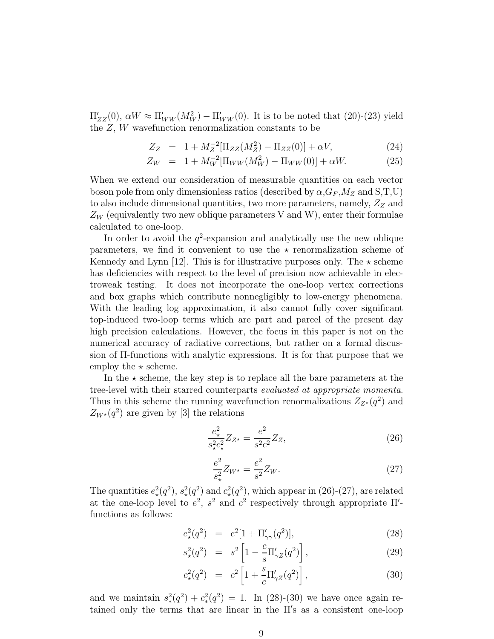$\Pi'_{ZZ}(0)$ ,  $\alpha W \approx \Pi'_{WW}(M_W^2) - \Pi'_{WW}(0)$ . It is to be noted that (20)-(23) yield the Z, W wavefunction renormalization constants to be

$$
Z_Z = 1 + M_Z^{-2} [\Pi_{ZZ}(M_Z^2) - \Pi_{ZZ}(0)] + \alpha V, \tag{24}
$$

$$
Z_W = 1 + M_W^{-2} [\Pi_{WW}(M_W^2) - \Pi_{WW}(0)] + \alpha W.
$$
 (25)

When we extend our consideration of measurable quantities on each vector boson pole from only dimensionless ratios (described by  $\alpha$ ,  $G_F$ ,  $M_Z$  and S, T, U) to also include dimensional quantities, two more parameters, namely,  $Z_Z$  and  $Z_W$  (equivalently two new oblique parameters V and W), enter their formulae calculated to one-loop.

In order to avoid the  $q^2$ -expansion and analytically use the new oblique parameters, we find it convenient to use the  $\star$  renormalization scheme of Kennedy and Lynn [12]. This is for illustrative purposes only. The  $\star$  scheme has deficiencies with respect to the level of precision now achievable in electroweak testing. It does not incorporate the one-loop vertex corrections and box graphs which contribute nonnegligibly to low-energy phenomena. With the leading log approximation, it also cannot fully cover significant top-induced two-loop terms which are part and parcel of the present day high precision calculations. However, the focus in this paper is not on the numerical accuracy of radiative corrections, but rather on a formal discussion of Π-functions with analytic expressions. It is for that purpose that we employ the  $\star$  scheme.

In the  $\star$  scheme, the key step is to replace all the bare parameters at the tree-level with their starred counterparts evaluated at appropriate momenta. Thus in this scheme the running wavefunction renormalizations  $Z_{Z^*}(q^2)$  and  $Z_{W^*}(q^2)$  are given by [3] the relations

$$
\frac{e_{\star}^2}{s_{\star}^2 c_{\star}^2} Z_{Z^{\star}} = \frac{e^2}{s^2 c^2} Z_Z,
$$
\n(26)

$$
\frac{e^2}{s_x^2} Z_{W^*} = \frac{e^2}{s^2} Z_W.
$$
\n(27)

The quantities  $e^2_\star(q^2)$ ,  $s^2_\star(q^2)$  and  $c^2_\star(q^2)$ , which appear in (26)-(27), are related at the one-loop level to  $e^2$ ,  $s^2$  and  $c^2$  respectively through appropriate  $\Pi'$ functions as follows:

$$
e_{\star}^{2}(q^{2}) = e^{2}[1 + \Pi'_{\gamma\gamma}(q^{2})], \qquad (28)
$$

$$
s_{\star}^{2}(q^{2}) = s^{2} \left[ 1 - \frac{c}{s} \Pi_{\gamma Z}'(q^{2}) \right],
$$
 (29)

$$
c_{\star}^{2}(q^{2}) = c^{2} \left[ 1 + \frac{s}{c} \Pi_{\gamma Z}'(q^{2}) \right],
$$
 (30)

and we maintain  $s_*^2(q^2) + c_*^2(q^2) = 1$ . In (28)-(30) we have once again retained only the terms that are linear in the  $\overline{\Pi}$ 's as a consistent one-loop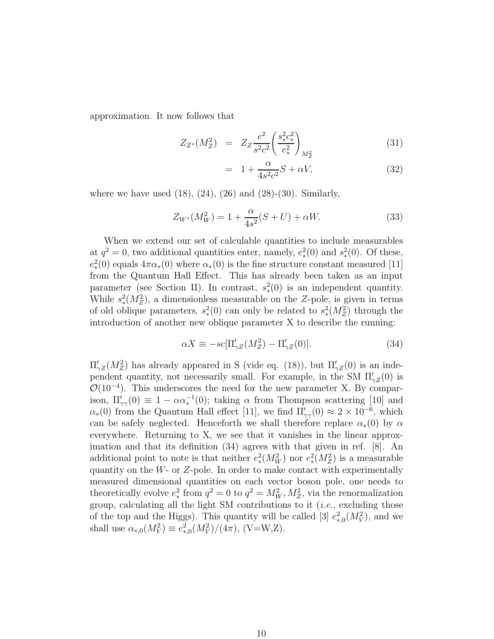approximation. It now follows that

$$
Z_{Z^*}(M_Z^2) = Z_Z \frac{e^2}{s^2 c^2} \left(\frac{s_*^2 c_*^2}{e_*^2}\right)_{M_Z^2}
$$
(31)

$$
= 1 + \frac{\alpha}{4s^2c^2}S + \alpha V,\tag{32}
$$

where we have used  $(18)$ ,  $(24)$ ,  $(26)$  and  $(28)-(30)$ . Similarly,

$$
Z_{W^*}(M_W^2) = 1 + \frac{\alpha}{4s^2}(S+U) + \alpha W.
$$
 (33)

When we extend our set of calculable quantities to include measurables at  $q^2 = 0$ , two additional quantities enter, namely,  $e_*^2(0)$  and  $s_*^2(0)$ . Of these,  $e_*^2(0)$  equals  $4\pi\alpha_*(0)$  where  $\alpha_*(0)$  is the fine structure constant measured [11] from the Quantum Hall Effect. This has already been taken as an input parameter (see Section II). In contrast,  $s_*^2(0)$  is an independent quantity. While  $s_*^2(M_Z^2)$ , a dimensionless measurable on the Z-pole, is given in terms of old oblique parameters,  $s_*^2(0)$  can only be related to  $s_*^2(M_Z^2)$  through the introduction of another new oblique parameter X to describe the running:

$$
\alpha X \equiv -sc[\Pi'_{\gamma Z}(M_Z^2) - \Pi'_{\gamma Z}(0)].\tag{34}
$$

 $\Pi'_{\gamma Z}(M_Z^2)$  has already appeared in S (vide eq. (18)), but  $\Pi'_{\gamma Z}(0)$  is an independent quantity, not necessarily small. For example, in the SM  $\Pi'_{\gamma Z}(0)$  is  $\mathcal{O}(10^{-4})$ . This underscores the need for the new parameter X. By comparison,  $\Pi'_{\gamma\gamma}(0) \equiv 1 - \alpha \alpha_*^{-1}(0)$ ; taking  $\alpha$  from Thompson scattering [10] and  $\alpha_*(0)$  from the Quantum Hall effect [11], we find  $\Pi'_{\gamma\gamma}(0) \approx 2 \times 10^{-6}$ , which can be safely neglected. Henceforth we shall therefore replace  $\alpha_*(0)$  by  $\alpha$ everywhere. Returning to X, we see that it vanishes in the linear approximation and that its definition (34) agrees with that given in ref. [8]. An additional point to note is that neither  $e_*^2(M_W^2)$  nor  $e_*^2(M_Z^2)$  is a measurable quantity on the  $W$ - or  $Z$ -pole. In order to make contact with experimentally measured dimensional quantities on each vector boson pole, one needs to theoretically evolve  $e_*^2$  from  $q^2 = 0$  to  $q^2 = M_W^2, M_Z^2$ , via the renormalization group, calculating all the light SM contributions to it  $(i.e.,$  excluding those of the top and the Higgs). This quantity will be called [3]  $e_{*,0}^2(M_V^2)$ , and we shall use  $\alpha_{*,0}(M_V^2) \equiv e_{*,0}^2(M_V^2)/(4\pi)$ , (V=W,Z).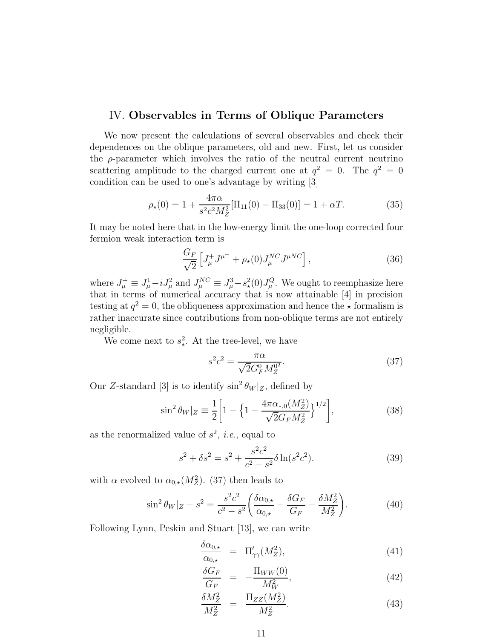#### IV. Observables in Terms of Oblique Parameters

We now present the calculations of several observables and check their dependences on the oblique parameters, old and new. First, let us consider the  $\rho$ -parameter which involves the ratio of the neutral current neutrino scattering amplitude to the charged current one at  $q^2 = 0$ . The  $q^2 = 0$ condition can be used to one's advantage by writing [3]

$$
\rho_{\star}(0) = 1 + \frac{4\pi\alpha}{s^2 c^2 M_Z^2} [\Pi_{11}(0) - \Pi_{33}(0)] = 1 + \alpha T. \tag{35}
$$

It may be noted here that in the low-energy limit the one-loop corrected four fermion weak interaction term is

$$
\frac{G_F}{\sqrt{2}} \left[ J^+_\mu J^{\mu^-} + \rho_\star(0) J^{NC}_\mu J^{\mu NC} \right],\tag{36}
$$

where  $J^+_\mu \equiv J^1_\mu - i J^2_\mu$  and  $J^{NC}_\mu \equiv J^3_\mu - s^2_\star(0) J^Q_\mu$ . We ought to reemphasize here that in terms of numerical accuracy that is now attainable [4] in precision testing at  $q^2 = 0$ , the obliqueness approximation and hence the  $\star$  formalism is rather inaccurate since contributions from non-oblique terms are not entirely negligible.

We come next to  $s_*^2$ . At the tree-level, we have

$$
s^2 c^2 = \frac{\pi \alpha}{\sqrt{2} G_F^0 M_Z^{0^2}}.
$$
\n(37)

Our Z-standard [3] is to identify  $\sin^2 \theta_W |z|$ , defined by

$$
\sin^2 \theta_W |_{Z} \equiv \frac{1}{2} \bigg[ 1 - \bigg\{ 1 - \frac{4\pi \alpha_{*,0} (M_Z^2)}{\sqrt{2} G_F M_Z^2} \bigg\}^{1/2} \bigg],\tag{38}
$$

as the renormalized value of  $s^2$ , *i.e.*, equal to

$$
s^{2} + \delta s^{2} = s^{2} + \frac{s^{2}c^{2}}{c^{2} - s^{2}} \delta \ln(s^{2}c^{2}).
$$
 (39)

with  $\alpha$  evolved to  $\alpha_{0,\star}(M_Z^2)$ . (37) then leads to

$$
\sin^2 \theta_W |Z - s^2 = \frac{s^2 c^2}{c^2 - s^2} \left( \frac{\delta \alpha_{0,\star}}{\alpha_{0,\star}} - \frac{\delta G_F}{G_F} - \frac{\delta M_Z^2}{M_Z^2} \right).
$$
 (40)

Following Lynn, Peskin and Stuart [13], we can write

$$
\frac{\delta \alpha_{0,\star}}{\alpha_{0,\star}} = \Pi'_{\gamma\gamma}(M_Z^2),\tag{41}
$$

$$
\frac{\delta G_F}{G_F} = -\frac{\Pi_{WW}(0)}{M_W^2},\tag{42}
$$

$$
\frac{\delta M_Z^2}{M_Z^2} = \frac{\Pi_{ZZ}(M_Z^2)}{M_Z^2}.
$$
\n(43)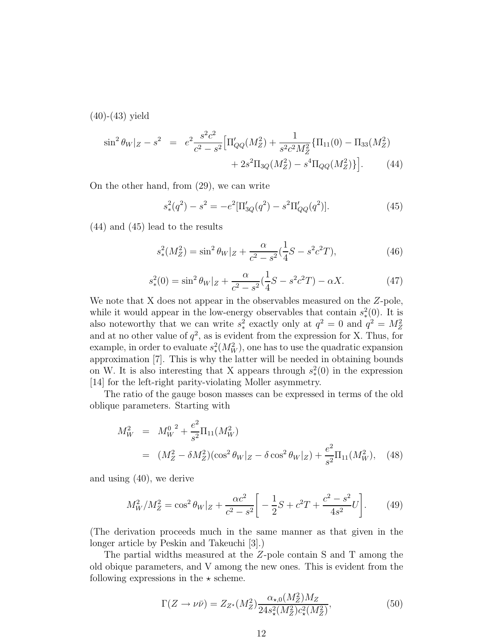$(40)-(43)$  yield

$$
\sin^2 \theta_W |Z - s^2 = e^2 \frac{s^2 c^2}{c^2 - s^2} \Big[ \Pi'_{QQ}(M_Z^2) + \frac{1}{s^2 c^2 M_Z^2} \{ \Pi_{11}(0) - \Pi_{33}(M_Z^2) + 2s^2 \Pi_{3Q}(M_Z^2) - s^4 \Pi_{QQ}(M_Z^2) \} \Big].
$$
 (44)

On the other hand, from (29), we can write

$$
s_*^2(q^2) - s^2 = -e^2[\Pi'_{3Q}(q^2) - s^2\Pi'_{QQ}(q^2)].
$$
\n(45)

(44) and (45) lead to the results

$$
s_*^2(M_Z^2) = \sin^2 \theta_W |Z + \frac{\alpha}{c^2 - s^2} (\frac{1}{4}S - s^2 c^2 T), \tag{46}
$$

$$
s_*^2(0) = \sin^2 \theta_W |Z + \frac{\alpha}{c^2 - s^2} (\frac{1}{4}S - s^2 c^2 T) - \alpha X. \tag{47}
$$

We note that X does not appear in the observables measured on the Z-pole, while it would appear in the low-energy observables that contain  $s_*^2(0)$ . It is also noteworthy that we can write  $s_*^2$  exactly only at  $q^2 = 0$  and  $q^2 = M_Z^2$ and at no other value of  $q^2$ , as is evident from the expression for X. Thus, for example, in order to evaluate  $s_*^2(M_W^2)$ , one has to use the quadratic expansion approximation [7]. This is why the latter will be needed in obtaining bounds on W. It is also interesting that X appears through  $s_*^2(0)$  in the expression [14] for the left-right parity-violating Moller asymmetry.

The ratio of the gauge boson masses can be expressed in terms of the old oblique parameters. Starting with

$$
M_W^2 = M_W^{0.2} + \frac{e^2}{s^2} \Pi_{11}(M_W^2)
$$
  
=  $(M_Z^2 - \delta M_Z^2)(\cos^2 \theta_W|_Z - \delta \cos^2 \theta_W|_Z) + \frac{e^2}{s^2} \Pi_{11}(M_W^2)$ , (48)

and using (40), we derive

$$
M_W^2/M_Z^2 = \cos^2 \theta_W |z + \frac{\alpha c^2}{c^2 - s^2} \left[ -\frac{1}{2}S + c^2 T + \frac{c^2 - s^2}{4s^2} U \right].
$$
 (49)

(The derivation proceeds much in the same manner as that given in the longer article by Peskin and Takeuchi [3].)

The partial widths measured at the Z-pole contain S and T among the old obique parameters, and V among the new ones. This is evident from the following expressions in the  $\star$  scheme.

$$
\Gamma(Z \to \nu \bar{\nu}) = Z_{Z^*}(M_Z^2) \frac{\alpha_{*,0}(M_Z^2) M_Z}{24s_*^2(M_Z^2)c_*^2(M_Z^2)},\tag{50}
$$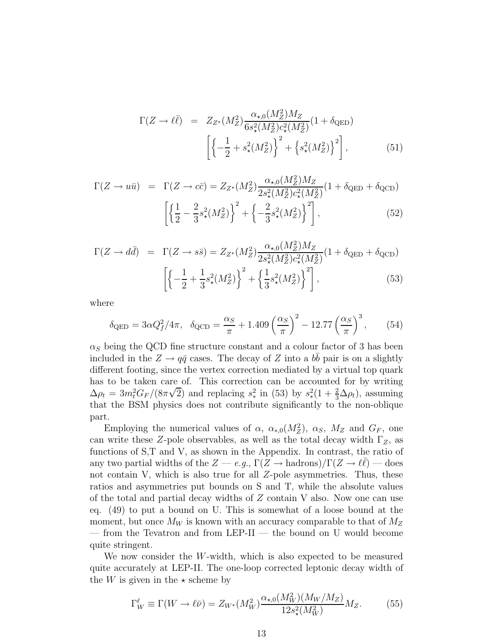$$
\Gamma(Z \to \ell \bar{\ell}) = Z_{Z^*}(M_Z^2) \frac{\alpha_{\star,0}(M_Z^2) M_Z}{6s_{\star}^2(M_Z^2)c_{\star}^2(M_Z^2)} (1 + \delta_{\text{QED}})
$$
\n
$$
\left[ \left\{ -\frac{1}{2} + s_{\star}^2(M_Z^2) \right\}^2 + \left\{ s_{\star}^2(M_Z^2) \right\}^2 \right],
$$
\n(51)

$$
\Gamma(Z \to u\bar{u}) = \Gamma(Z \to c\bar{c}) = Z_{Z^*}(M_Z^2) \frac{\alpha_{\star,0}(M_Z^2) M_Z}{2s_{\star}^2(M_Z^2)c_{\star}^2(M_Z^2)} (1 + \delta_{\text{QED}} + \delta_{\text{QCD}})
$$

$$
\left[ \left\{ \frac{1}{2} - \frac{2}{3} s_{\star}^2(M_Z^2) \right\}^2 + \left\{ -\frac{2}{3} s_{\star}^2(M_Z^2) \right\}^2 \right],
$$
(52)

$$
\Gamma(Z \to d\bar{d}) = \Gamma(Z \to s\bar{s}) = Z_{Z^*}(M_Z^2) \frac{\alpha_{\star,0}(M_Z^2) M_Z}{2s_{\star}^2(M_Z^2)c_{\star}^2(M_Z^2)} (1 + \delta_{\text{QED}} + \delta_{\text{QCD}})
$$

$$
\left[ \left\{ -\frac{1}{2} + \frac{1}{3} s_{\star}^2(M_Z^2) \right\}^2 + \left\{ \frac{1}{3} s_{\star}^2(M_Z^2) \right\}^2 \right],
$$
(53)

where

$$
\delta_{\text{QED}} = 3\alpha Q_f^2 / 4\pi, \quad \delta_{\text{QCD}} = \frac{\alpha_S}{\pi} + 1.409 \left(\frac{\alpha_S}{\pi}\right)^2 - 12.77 \left(\frac{\alpha_S}{\pi}\right)^3, \tag{54}
$$

 $\alpha_S$  being the QCD fine structure constant and a colour factor of 3 has been included in the  $Z \to q\bar{q}$  cases. The decay of Z into a  $b\bar{b}$  pair is on a slightly different footing, since the vertex correction mediated by a virtual top quark has to be taken care of. This correction can be accounted for by writing  $\Delta \rho_t = 3m_t^2 G_F/(8\pi\sqrt{2})$  and replacing  $s_*^2$  in (53) by  $s_*^2(1+\frac{2}{3}\Delta \rho_t)$ , assuming that the BSM physics does not contribute significantly to the non-oblique part.

Employing the numerical values of  $\alpha$ ,  $\alpha_{*,0}(M_Z^2)$ ,  $\alpha_S$ ,  $M_Z$  and  $G_F$ , one can write these Z-pole observables, as well as the total decay width  $\Gamma_Z$ , as functions of S,T and V, as shown in the Appendix. In contrast, the ratio of any two partial widths of the  $Z \to e.g., \Gamma(Z \to hadrons)/\Gamma(Z \to \ell\bar{\ell})$  — does not contain V, which is also true for all  $Z$ -pole asymmetries. Thus, these ratios and asymmetries put bounds on S and T, while the absolute values of the total and partial decay widths of  $Z$  contain V also. Now one can use eq. (49) to put a bound on U. This is somewhat of a loose bound at the moment, but once  $M_W$  is known with an accuracy comparable to that of  $M_Z$ — from the Tevatron and from LEP-II — the bound on U would become quite stringent.

We now consider the W-width, which is also expected to be measured quite accurately at LEP-II. The one-loop corrected leptonic decay width of the W is given in the  $\star$  scheme by

$$
\Gamma_W^{\ell} \equiv \Gamma(W \to \ell \bar{\nu}) = Z_{W^{\star}}(M_W^2) \frac{\alpha_{\star,0}(M_W^2)(M_W/M_Z)}{12s_{\star}^2(M_W^2)} M_Z.
$$
 (55)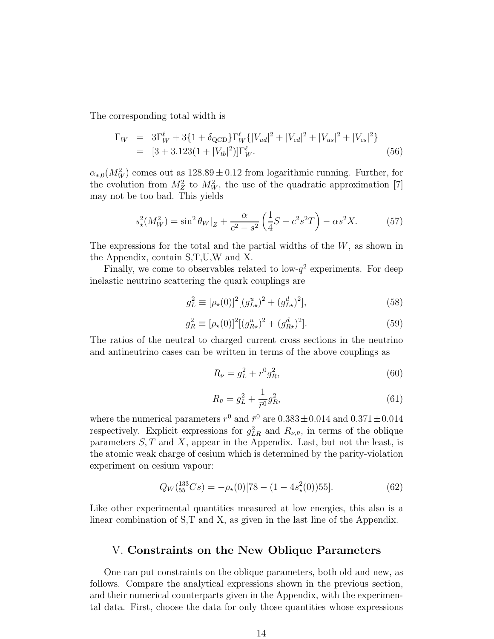The corresponding total width is

$$
\Gamma_W = 3\Gamma_W^{\ell} + 3\{1 + \delta_{\text{QCD}}\}\Gamma_W^{\ell} \{|V_{ud}|^2 + |V_{cd}|^2 + |V_{us}|^2 + |V_{cs}|^2\}
$$
  
=  $[3 + 3.123(1 + |V_{tb}|^2)]\Gamma_W^{\ell}$ . (56)

 $\alpha_{*,0}(M_W^2)$  comes out as  $128.89 \pm 0.12$  from logarithmic running. Further, for the evolution from  $M_Z^2$  to  $M_W^2$ , the use of the quadratic approximation [7] may not be too bad. This yields

$$
s_{\star}^{2}(M_{W}^{2}) = \sin^{2}\theta_{W}|_{Z} + \frac{\alpha}{c^{2} - s^{2}} \left(\frac{1}{4}S - c^{2}s^{2}T\right) - \alpha s^{2}X. \tag{57}
$$

The expressions for the total and the partial widths of the  $W$ , as shown in the Appendix, contain S,T,U,W and X.

Finally, we come to observables related to low- $q^2$  experiments. For deep inelastic neutrino scattering the quark couplings are

$$
g_L^2 \equiv [\rho_\star(0)]^2 [(g_{L\star}^u)^2 + (g_{L\star}^d)^2], \tag{58}
$$

$$
g_R^2 \equiv [\rho_\star(0)]^2 [(g_{R\star}^u)^2 + (g_{R\star}^d)^2]. \tag{59}
$$

The ratios of the neutral to charged current cross sections in the neutrino and antineutrino cases can be written in terms of the above couplings as

$$
R_{\nu} = g_L^2 + r^0 g_R^2,\tag{60}
$$

$$
R_{\bar{\nu}} = g_L^2 + \frac{1}{\bar{r}^0} g_R^2,\tag{61}
$$

where the numerical parameters  $r^0$  and  $\bar{r}^0$  are  $0.383 \pm 0.014$  and  $0.371 \pm 0.014$ respectively. Explicit expressions for  $g_{LR}^2$  and  $R_{\nu,\bar{\nu}}$ , in terms of the oblique parameters  $S, T$  and  $X$ , appear in the Appendix. Last, but not the least, is the atomic weak charge of cesium which is determined by the parity-violation experiment on cesium vapour:

$$
Q_W(^{133}_{55}Cs) = -\rho_\star(0)[78 - (1 - 4s_\star^2(0))55].\tag{62}
$$

Like other experimental quantities measured at low energies, this also is a linear combination of S,T and X, as given in the last line of the Appendix.

#### V. Constraints on the New Oblique Parameters

One can put constraints on the oblique parameters, both old and new, as follows. Compare the analytical expressions shown in the previous section, and their numerical counterparts given in the Appendix, with the experimental data. First, choose the data for only those quantities whose expressions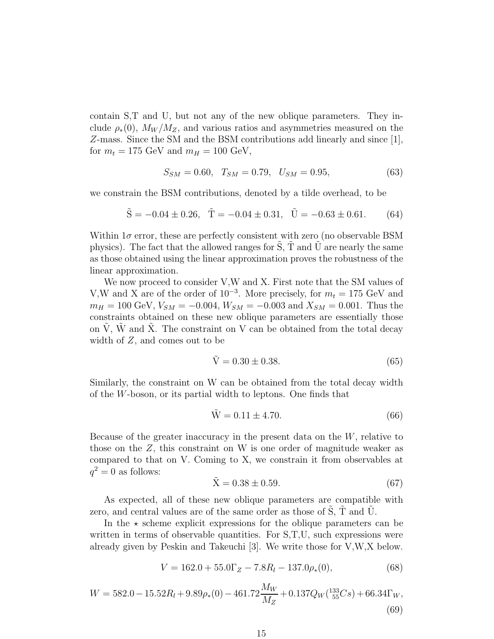contain S,T and U, but not any of the new oblique parameters. They include  $\rho_*(0)$ ,  $M_W/M_Z$ , and various ratios and asymmetries measured on the Z-mass. Since the SM and the BSM contributions add linearly and since [1], for  $m_t = 175$  GeV and  $m_H = 100$  GeV,

$$
S_{SM} = 0.60, T_{SM} = 0.79, U_{SM} = 0.95, \t(63)
$$

we constrain the BSM contributions, denoted by a tilde overhead, to be

$$
\tilde{S} = -0.04 \pm 0.26, \quad \tilde{T} = -0.04 \pm 0.31, \quad \tilde{U} = -0.63 \pm 0.61. \tag{64}
$$

Within  $1\sigma$  error, these are perfectly consistent with zero (no observable BSM physics). The fact that the allowed ranges for  $S$ ,  $T$  and  $U$  are nearly the same as those obtained using the linear approximation proves the robustness of the linear approximation.

We now proceed to consider V,W and X. First note that the SM values of V,W and X are of the order of  $10^{-3}$ . More precisely, for  $m_t = 175$  GeV and  $m_H = 100 \text{ GeV}, V_{SM} = -0.004, W_{SM} = -0.003 \text{ and } X_{SM} = 0.001.$  Thus the constraints obtained on these new oblique parameters are essentially those on  $\hat{V}$ ,  $\hat{W}$  and  $\hat{X}$ . The constraint on V can be obtained from the total decay width of Z, and comes out to be

$$
\tilde{V} = 0.30 \pm 0.38. \tag{65}
$$

Similarly, the constraint on W can be obtained from the total decay width of the W-boson, or its partial width to leptons. One finds that

$$
\tilde{W} = 0.11 \pm 4.70. \tag{66}
$$

Because of the greater inaccuracy in the present data on the  $W$ , relative to those on the  $Z$ , this constraint on W is one order of magnitude weaker as compared to that on V. Coming to X, we constrain it from observables at  $q^2=0$  as follows:

$$
\tilde{X} = 0.38 \pm 0.59. \tag{67}
$$

As expected, all of these new oblique parameters are compatible with zero, and central values are of the same order as those of S, T and U.

In the  $\star$  scheme explicit expressions for the oblique parameters can be written in terms of observable quantities. For  $S,T,U$ , such expressions were already given by Peskin and Takeuchi [3]. We write those for V,W,X below.

$$
V = 162.0 + 55.0\Gamma_Z - 7.8R_l - 137.0\rho_*(0),\tag{68}
$$

$$
W = 582.0 - 15.52R_l + 9.89\rho_*(0) - 461.72\frac{M_W}{M_Z} + 0.137Q_W(^{133}_{55}Cs) + 66.34\Gamma_W,
$$
\n(69)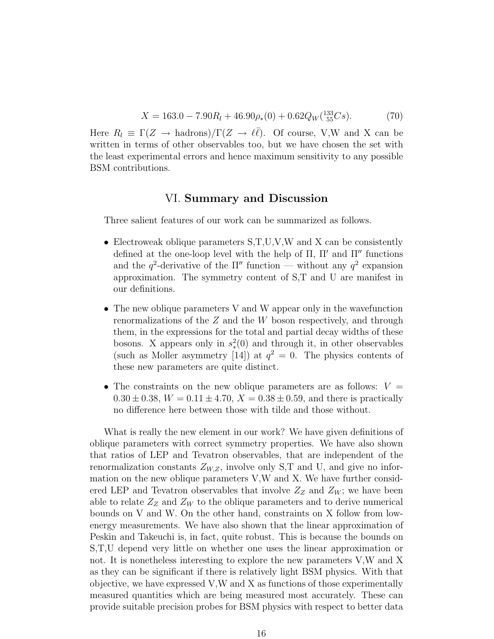$$
X = 163.0 - 7.90R_l + 46.90\rho_*(0) + 0.62Q_W(^{133}_{55}Cs). \tag{70}
$$

Here  $R_l \equiv \Gamma(Z \to \text{hadrons})/\Gamma(Z \to \ell \bar{\ell})$ . Of course, V,W and X can be written in terms of other observables too, but we have chosen the set with the least experimental errors and hence maximum sensitivity to any possible BSM contributions.

### VI. Summary and Discussion

Three salient features of our work can be summarized as follows.

- Electroweak oblique parameters  $S, T, U, V, W$  and X can be consistently defined at the one-loop level with the help of  $\Pi$ ,  $\Pi'$  and  $\Pi''$  functions and the  $q^2$ -derivative of the  $\Pi''$  function — without any  $q^2$  expansion approximation. The symmetry content of S,T and U are manifest in our definitions.
- The new oblique parameters V and W appear only in the wavefunction renormalizations of the Z and the W boson respectively, and through them, in the expressions for the total and partial decay widths of these bosons. X appears only in  $s_*^2(0)$  and through it, in other observables (such as Moller asymmetry [14]) at  $q^2 = 0$ . The physics contents of these new parameters are quite distinct.
- The constraints on the new oblique parameters are as follows:  $V =$  $0.30 \pm 0.38$ ,  $W = 0.11 \pm 4.70$ ,  $X = 0.38 \pm 0.59$ , and there is practically no difference here between those with tilde and those without.

What is really the new element in our work? We have given definitions of oblique parameters with correct symmetry properties. We have also shown that ratios of LEP and Tevatron observables, that are independent of the renormalization constants  $Z_{W,Z}$ , involve only S,T and U, and give no information on the new oblique parameters V,W and X. We have further considered LEP and Tevatron observables that involve  $Z_Z$  and  $Z_W$ ; we have been able to relate  $Z_Z$  and  $Z_W$  to the oblique parameters and to derive numerical bounds on V and W. On the other hand, constraints on X follow from lowenergy measurements. We have also shown that the linear approximation of Peskin and Takeuchi is, in fact, quite robust. This is because the bounds on S,T,U depend very little on whether one uses the linear approximation or not. It is nonetheless interesting to explore the new parameters V,W and X as they can be significant if there is relatively light BSM physics. With that objective, we have expressed V,W and X as functions of those experimentally measured quantities which are being measured most accurately. These can provide suitable precision probes for BSM physics with respect to better data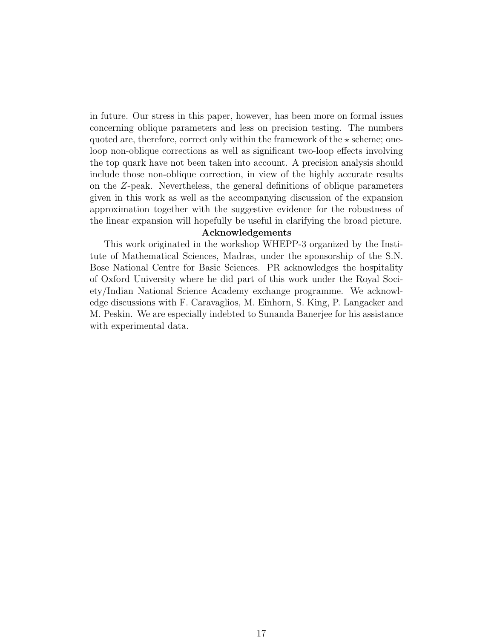in future. Our stress in this paper, however, has been more on formal issues concerning oblique parameters and less on precision testing. The numbers quoted are, therefore, correct only within the framework of the  $\star$  scheme; oneloop non-oblique corrections as well as significant two-loop effects involving the top quark have not been taken into account. A precision analysis should include those non-oblique correction, in view of the highly accurate results on the Z-peak. Nevertheless, the general definitions of oblique parameters given in this work as well as the accompanying discussion of the expansion approximation together with the suggestive evidence for the robustness of the linear expansion will hopefully be useful in clarifying the broad picture.

#### Acknowledgements

This work originated in the workshop WHEPP-3 organized by the Institute of Mathematical Sciences, Madras, under the sponsorship of the S.N. Bose National Centre for Basic Sciences. PR acknowledges the hospitality of Oxford University where he did part of this work under the Royal Society/Indian National Science Academy exchange programme. We acknowledge discussions with F. Caravaglios, M. Einhorn, S. King, P. Langacker and M. Peskin. We are especially indebted to Sunanda Banerjee for his assistance with experimental data.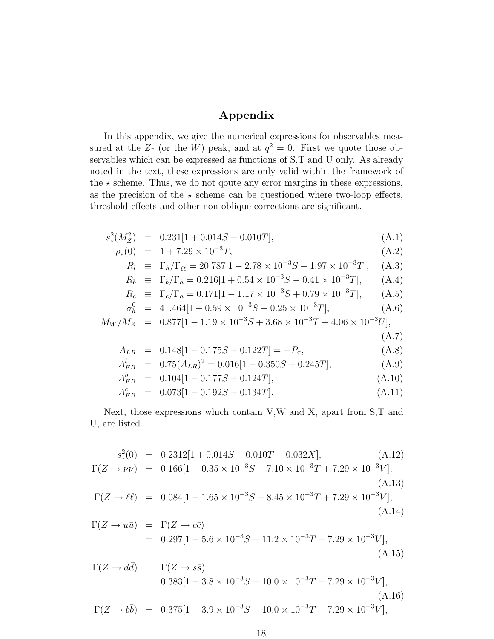## Appendix

In this appendix, we give the numerical expressions for observables measured at the Z- (or the W) peak, and at  $q^2 = 0$ . First we quote those observables which can be expressed as functions of S,T and U only. As already noted in the text, these expressions are only valid within the framework of the  $\star$  scheme. Thus, we do not qoute any error margins in these expressions, as the precision of the  $\star$  scheme can be questioned where two-loop effects, threshold effects and other non-oblique corrections are significant.

$$
s_*^2(M_Z^2) = 0.231[1 + 0.014S - 0.010T], \tag{A.1}
$$

$$
\rho_*(0) = 1 + 7.29 \times 10^{-3} T,\tag{A.2}
$$

$$
R_l \equiv \Gamma_h / \Gamma_{\ell\bar{\ell}} = 20.787[1 - 2.78 \times 10^{-3} S + 1.97 \times 10^{-3} T], \quad (A.3)
$$

$$
R_b \equiv \Gamma_b/\Gamma_h = 0.216[1 + 0.54 \times 10^{-3} S - 0.41 \times 10^{-3} T], \quad (A.4)
$$

$$
R_c \equiv \Gamma_c/\Gamma_h = 0.171[1 - 1.17 \times 10^{-3} S + 0.79 \times 10^{-3} T], \quad (A.5)
$$

$$
\sigma_h^0 = 41.464[1 + 0.59 \times 10^{-3} S - 0.25 \times 10^{-3} T], \tag{A.6}
$$

$$
M_W/M_Z = 0.877[1 - 1.19 \times 10^{-3} S + 3.68 \times 10^{-3} T + 4.06 \times 10^{-3} U],
$$
\n(A.7)

$$
A_{LR} = 0.148[1 - 0.175S + 0.122T] = -P_{\tau}, \tag{A.8}
$$

$$
A_{FB}^l = 0.75(A_{LR})^2 = 0.016[1 - 0.350S + 0.245T],
$$
\n(A.9)

$$
A_{FB}^b = 0.104[1 - 0.177S + 0.124T], \tag{A.10}
$$

$$
A_{FB}^c = 0.073[1 - 0.192S + 0.134T]. \tag{A.11}
$$

Next, those expressions which contain V,W and X, apart from S,T and U, are listed.

$$
s_*^2(0) = 0.2312[1 + 0.014S - 0.010T - 0.032X],
$$
\n(A.12)  
\n
$$
\Gamma(Z \to \nu\bar{\nu}) = 0.166[1 - 0.35 \times 10^{-3}S + 7.10 \times 10^{-3}T + 7.29 \times 10^{-3}V],
$$
\n(A.13)  
\n
$$
\Gamma(Z \to \ell\bar{\ell}) = 0.084[1 - 1.65 \times 10^{-3}S + 8.45 \times 10^{-3}T + 7.29 \times 10^{-3}V],
$$
\n(A.14)  
\n
$$
\Gamma(Z \to u\bar{u}) = \Gamma(Z \to c\bar{c})
$$
\n
$$
= 0.297[1 - 5.6 \times 10^{-3}S + 11.2 \times 10^{-3}T + 7.29 \times 10^{-3}V],
$$
\n(A.15)

$$
\Gamma(Z \to d\bar{d}) = \Gamma(Z \to s\bar{s})
$$
  
= 0.383[1 - 3.8 \times 10^{-3}S + 10.0 \times 10^{-3}T + 7.29 \times 10^{-3}V],  
(A.16)  

$$
\Gamma(Z \to b\bar{b}) = 0.375[1 - 3.9 \times 10^{-3}S + 10.0 \times 10^{-3}T + 7.29 \times 10^{-3}V],
$$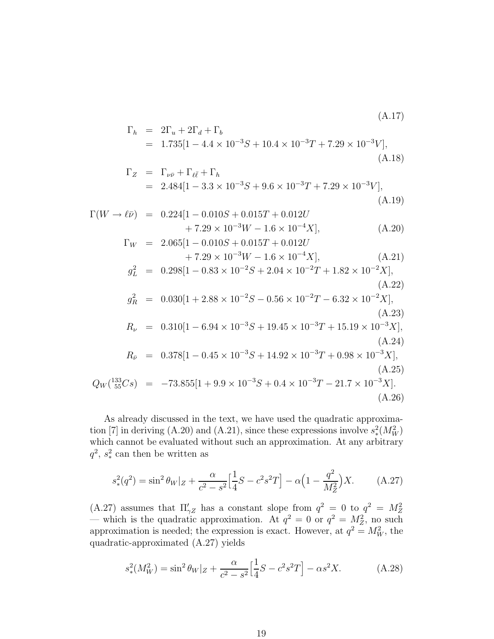$$
\Gamma_h = 2\Gamma_u + 2\Gamma_d + \Gamma_b
$$
  
= 1.735[1 - 4.4 × 10<sup>-3</sup>S + 10.4 × 10<sup>-3</sup>T + 7.29 × 10<sup>-3</sup>V], (A.18)

$$
\Gamma_Z = \Gamma_{\nu\bar{\nu}} + \Gamma_{\ell\bar{\ell}} + \Gamma_h
$$
  
= 2.484[1 - 3.3 × 10<sup>-3</sup>S + 9.6 × 10<sup>-3</sup>T + 7.29 × 10<sup>-3</sup>V], (A.19)

$$
\Gamma(W \to \ell \bar{\nu}) = 0.224[1 - 0.010S + 0.015T + 0.012U+ 7.29 \times 10^{-3}W - 1.6 \times 10^{-4}X], \qquad (A.20)
$$
  
\n
$$
\Gamma_W = 2.065[1 - 0.010S + 0.015T + 0.012U+ 7.29 \times 10^{-3}W - 1.6 \times 10^{-4}X], \qquad (A.21)
$$
  
\n
$$
g_L^2 = 0.298[1 - 0.83 \times 10^{-2}S + 2.04 \times 10^{-2}T + 1.82 \times 10^{-2}X], \qquad (A.22)
$$
  
\n
$$
g_R^2 = 0.030[1 + 2.88 \times 10^{-2}S - 0.56 \times 10^{-2}T - 6.32 \times 10^{-2}X], \qquad (A.23)
$$
  
\n
$$
R_{\nu} = 0.310[1 - 6.94 \times 10^{-3}S + 19.45 \times 10^{-3}T + 15.19 \times 10^{-3}X], \qquad (A.24)
$$
  
\n
$$
R_{\bar{\nu}} = 0.378[1 - 0.45 \times 10^{-3}S + 14.92 \times 10^{-3}T + 0.98 \times 10^{-3}X], \qquad (A.25)
$$
  
\n
$$
Q_W(^{133}_{55}Cs) = -73.855[1 + 9.9 \times 10^{-3}S + 0.4 \times 10^{-3}T - 21.7 \times 10^{-3}X]. \qquad (A.26)
$$

As already discussed in the text, we have used the quadratic approximation [7] in deriving (A.20) and (A.21), since these expressions involve  $s_*^2(M_W^2)$ which cannot be evaluated without such an approximation. At any arbitrary  $q^2$ ,  $s_*^2$  can then be written as

$$
s_*^2(q^2) = \sin^2 \theta_W |z + \frac{\alpha}{c^2 - s^2} \Big[ \frac{1}{4} S - c^2 s^2 T \Big] - \alpha \Big( 1 - \frac{q^2}{M_Z^2} \Big) X. \tag{A.27}
$$

(A.27) assumes that  $\Pi'_{\gamma Z}$  has a constant slope from  $q^2 = 0$  to  $q^2 = M_Z^2$ — which is the quadratic approximation. At  $q^2 = 0$  or  $q^2 = M_Z^2$ , no such approximation is needed; the expression is exact. However, at  $q^2 = M_W^2$ , the quadratic-approximated (A.27) yields

$$
s_*^2(M_W^2) = \sin^2 \theta_W |z + \frac{\alpha}{c^2 - s^2} \Big[ \frac{1}{4} S - c^2 s^2 T \Big] - \alpha s^2 X. \tag{A.28}
$$